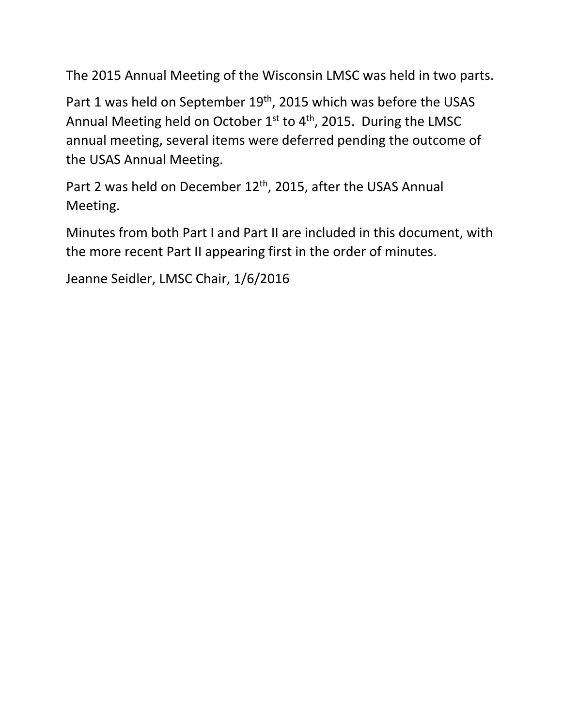The 2015 Annual Meeting of the Wisconsin LMSC was held in two parts.

Part 1 was held on September 19<sup>th</sup>, 2015 which was before the USAS Annual Meeting held on October  $1^{st}$  to  $4^{th}$ , 2015. During the LMSC annual meeting, several items were deferred pending the outcome of the USAS Annual Meeting.

Part 2 was held on December 12<sup>th</sup>, 2015, after the USAS Annual Meeting.

Minutes from both Part I and Part II are included in this document, with the more recent Part II appearing first in the order of minutes.

Jeanne Seidler, LMSC Chair, 1/6/2016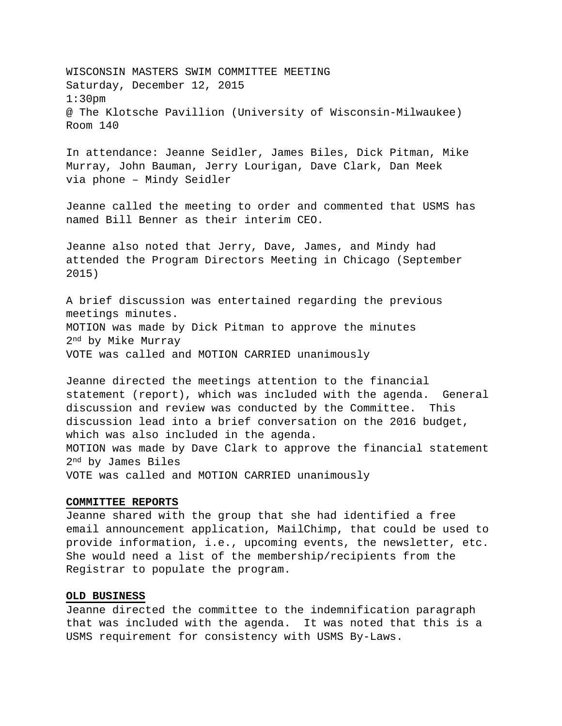WISCONSIN MASTERS SWIM COMMITTEE MEETING Saturday, December 12, 2015 1:30pm @ The Klotsche Pavillion (University of Wisconsin-Milwaukee) Room 140

In attendance: Jeanne Seidler, James Biles, Dick Pitman, Mike Murray, John Bauman, Jerry Lourigan, Dave Clark, Dan Meek via phone – Mindy Seidler

Jeanne called the meeting to order and commented that USMS has named Bill Benner as their interim CEO.

Jeanne also noted that Jerry, Dave, James, and Mindy had attended the Program Directors Meeting in Chicago (September 2015)

A brief discussion was entertained regarding the previous meetings minutes. MOTION was made by Dick Pitman to approve the minutes 2nd by Mike Murray VOTE was called and MOTION CARRIED unanimously

Jeanne directed the meetings attention to the financial statement (report), which was included with the agenda. General discussion and review was conducted by the Committee. This discussion lead into a brief conversation on the 2016 budget, which was also included in the agenda. MOTION was made by Dave Clark to approve the financial statement 2nd by James Biles VOTE was called and MOTION CARRIED unanimously

#### **COMMITTEE REPORTS**

Jeanne shared with the group that she had identified a free email announcement application, MailChimp, that could be used to provide information, i.e., upcoming events, the newsletter, etc. She would need a list of the membership/recipients from the Registrar to populate the program.

#### **OLD BUSINESS**

Jeanne directed the committee to the indemnification paragraph that was included with the agenda. It was noted that this is a USMS requirement for consistency with USMS By-Laws.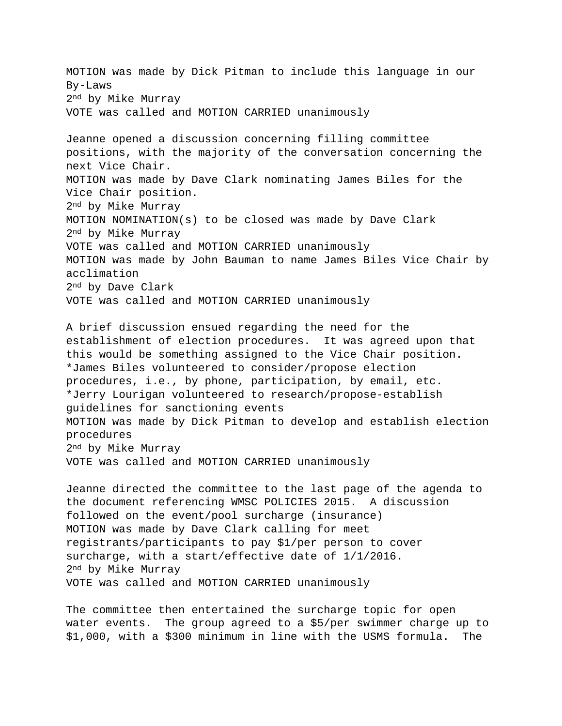MOTION was made by Dick Pitman to include this language in our By-Laws 2nd by Mike Murray VOTE was called and MOTION CARRIED unanimously Jeanne opened a discussion concerning filling committee positions, with the majority of the conversation concerning the next Vice Chair. MOTION was made by Dave Clark nominating James Biles for the Vice Chair position. 2nd by Mike Murray MOTION NOMINATION(s) to be closed was made by Dave Clark 2nd by Mike Murray VOTE was called and MOTION CARRIED unanimously MOTION was made by John Bauman to name James Biles Vice Chair by acclimation 2nd by Dave Clark VOTE was called and MOTION CARRIED unanimously

A brief discussion ensued regarding the need for the establishment of election procedures. It was agreed upon that this would be something assigned to the Vice Chair position. \*James Biles volunteered to consider/propose election procedures, i.e., by phone, participation, by email, etc. \*Jerry Lourigan volunteered to research/propose-establish guidelines for sanctioning events MOTION was made by Dick Pitman to develop and establish election procedures 2nd by Mike Murray VOTE was called and MOTION CARRIED unanimously

Jeanne directed the committee to the last page of the agenda to the document referencing WMSC POLICIES 2015. A discussion followed on the event/pool surcharge (insurance) MOTION was made by Dave Clark calling for meet registrants/participants to pay \$1/per person to cover surcharge, with a start/effective date of 1/1/2016. 2nd by Mike Murray VOTE was called and MOTION CARRIED unanimously

The committee then entertained the surcharge topic for open water events. The group agreed to a \$5/per swimmer charge up to \$1,000, with a \$300 minimum in line with the USMS formula. The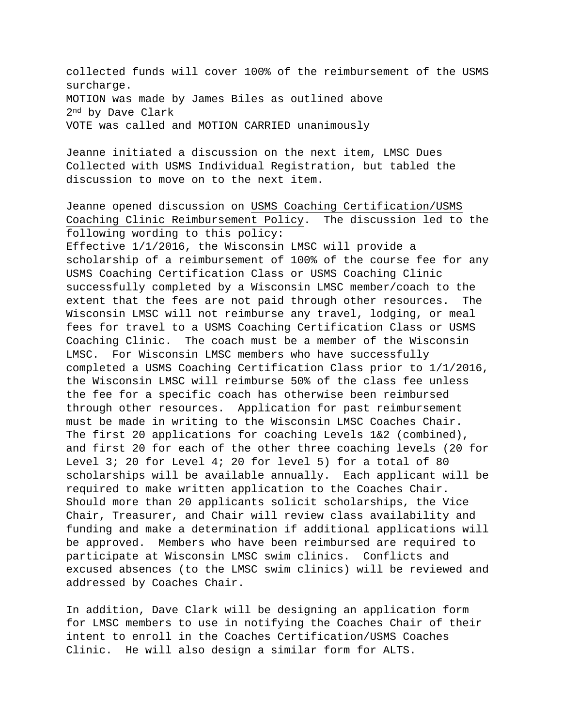collected funds will cover 100% of the reimbursement of the USMS surcharge. MOTION was made by James Biles as outlined above 2nd by Dave Clark VOTE was called and MOTION CARRIED unanimously

Jeanne initiated a discussion on the next item, LMSC Dues Collected with USMS Individual Registration, but tabled the discussion to move on to the next item.

Jeanne opened discussion on USMS Coaching Certification/USMS Coaching Clinic Reimbursement Policy. The discussion led to the following wording to this policy:

Effective 1/1/2016, the Wisconsin LMSC will provide a scholarship of a reimbursement of 100% of the course fee for any USMS Coaching Certification Class or USMS Coaching Clinic successfully completed by a Wisconsin LMSC member/coach to the extent that the fees are not paid through other resources. The Wisconsin LMSC will not reimburse any travel, lodging, or meal fees for travel to a USMS Coaching Certification Class or USMS Coaching Clinic. The coach must be a member of the Wisconsin LMSC. For Wisconsin LMSC members who have successfully completed a USMS Coaching Certification Class prior to 1/1/2016, the Wisconsin LMSC will reimburse 50% of the class fee unless the fee for a specific coach has otherwise been reimbursed through other resources. Application for past reimbursement must be made in writing to the Wisconsin LMSC Coaches Chair. The first 20 applications for coaching Levels  $1\&2$  (combined), and first 20 for each of the other three coaching levels (20 for Level 3; 20 for Level 4; 20 for level 5) for a total of 80 scholarships will be available annually. Each applicant will be required to make written application to the Coaches Chair. Should more than 20 applicants solicit scholarships, the Vice Chair, Treasurer, and Chair will review class availability and funding and make a determination if additional applications will be approved. Members who have been reimbursed are required to participate at Wisconsin LMSC swim clinics. Conflicts and excused absences (to the LMSC swim clinics) will be reviewed and addressed by Coaches Chair.

In addition, Dave Clark will be designing an application form for LMSC members to use in notifying the Coaches Chair of their intent to enroll in the Coaches Certification/USMS Coaches Clinic. He will also design a similar form for ALTS.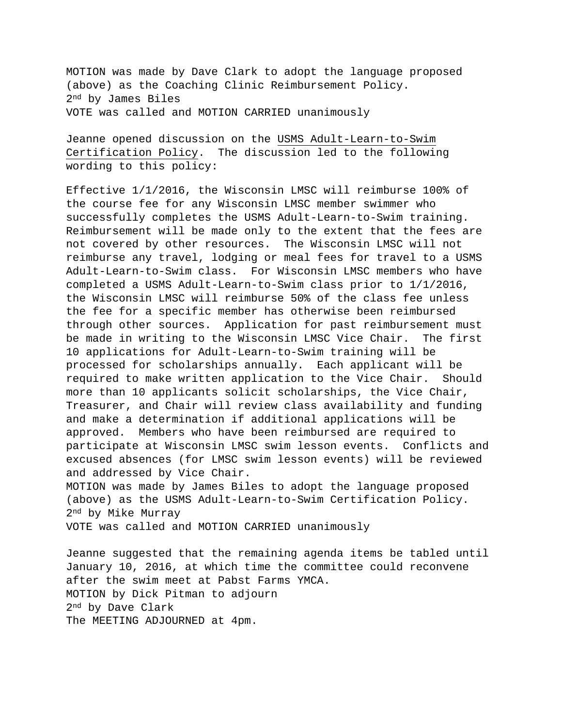MOTION was made by Dave Clark to adopt the language proposed (above) as the Coaching Clinic Reimbursement Policy. 2nd by James Biles VOTE was called and MOTION CARRIED unanimously

Jeanne opened discussion on the USMS Adult-Learn-to-Swim Certification Policy. The discussion led to the following wording to this policy:

Effective 1/1/2016, the Wisconsin LMSC will reimburse 100% of the course fee for any Wisconsin LMSC member swimmer who successfully completes the USMS Adult-Learn-to-Swim training. Reimbursement will be made only to the extent that the fees are not covered by other resources. The Wisconsin LMSC will not reimburse any travel, lodging or meal fees for travel to a USMS Adult-Learn-to-Swim class. For Wisconsin LMSC members who have completed a USMS Adult-Learn-to-Swim class prior to 1/1/2016, the Wisconsin LMSC will reimburse 50% of the class fee unless the fee for a specific member has otherwise been reimbursed through other sources. Application for past reimbursement must be made in writing to the Wisconsin LMSC Vice Chair. The first 10 applications for Adult-Learn-to-Swim training will be processed for scholarships annually. Each applicant will be required to make written application to the Vice Chair. Should more than 10 applicants solicit scholarships, the Vice Chair, Treasurer, and Chair will review class availability and funding and make a determination if additional applications will be approved. Members who have been reimbursed are required to participate at Wisconsin LMSC swim lesson events. Conflicts and excused absences (for LMSC swim lesson events) will be reviewed and addressed by Vice Chair.

MOTION was made by James Biles to adopt the language proposed (above) as the USMS Adult-Learn-to-Swim Certification Policy. 2nd by Mike Murray

VOTE was called and MOTION CARRIED unanimously

Jeanne suggested that the remaining agenda items be tabled until January 10, 2016, at which time the committee could reconvene after the swim meet at Pabst Farms YMCA. MOTION by Dick Pitman to adjourn 2nd by Dave Clark The MEETING ADJOURNED at 4pm.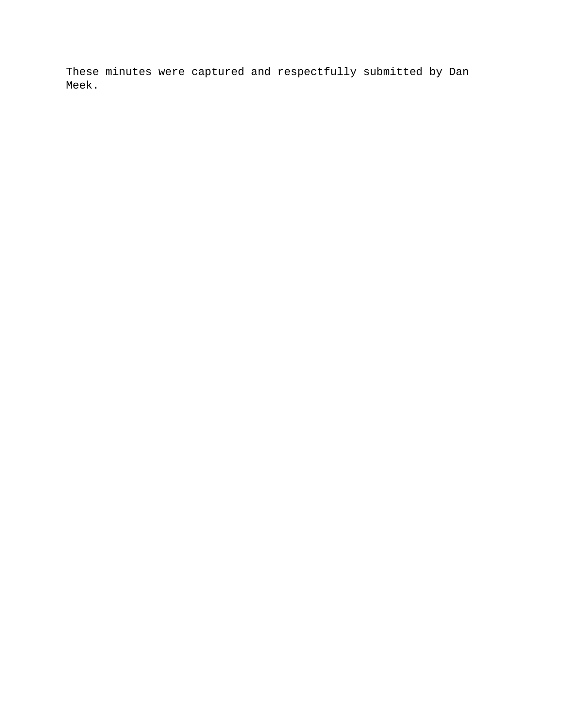These minutes were captured and respectfully submitted by Dan Meek.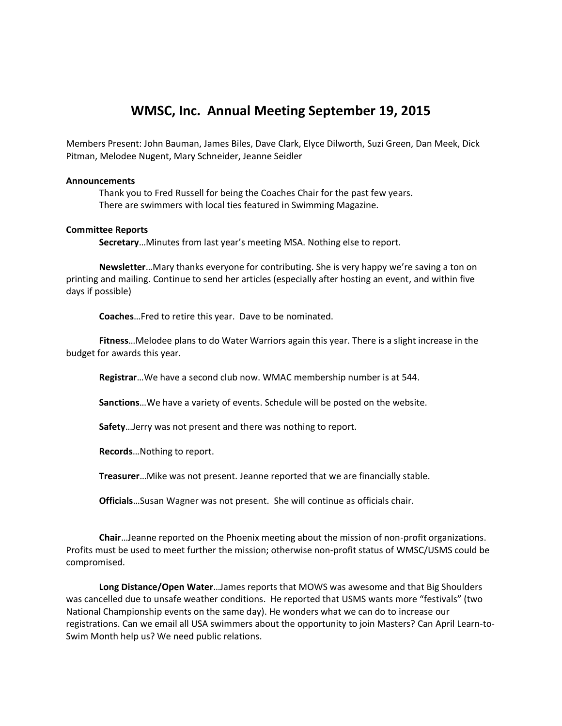# **WMSC, Inc. Annual Meeting September 19, 2015**

Members Present: John Bauman, James Biles, Dave Clark, Elyce Dilworth, Suzi Green, Dan Meek, Dick Pitman, Melodee Nugent, Mary Schneider, Jeanne Seidler

# **Announcements**

Thank you to Fred Russell for being the Coaches Chair for the past few years. There are swimmers with local ties featured in Swimming Magazine.

### **Committee Reports**

**Secretary**…Minutes from last year's meeting MSA. Nothing else to report.

**Newsletter**…Mary thanks everyone for contributing. She is very happy we're saving a ton on printing and mailing. Continue to send her articles (especially after hosting an event, and within five days if possible)

**Coaches**…Fred to retire this year. Dave to be nominated.

**Fitness**…Melodee plans to do Water Warriors again this year. There is a slight increase in the budget for awards this year.

**Registrar**…We have a second club now. WMAC membership number is at 544.

**Sanctions**…We have a variety of events. Schedule will be posted on the website.

**Safety**…Jerry was not present and there was nothing to report.

**Records**…Nothing to report.

**Treasurer**…Mike was not present. Jeanne reported that we are financially stable.

**Officials**…Susan Wagner was not present. She will continue as officials chair.

**Chair**…Jeanne reported on the Phoenix meeting about the mission of non-profit organizations. Profits must be used to meet further the mission; otherwise non-profit status of WMSC/USMS could be compromised.

**Long Distance/Open Water**…James reports that MOWS was awesome and that Big Shoulders was cancelled due to unsafe weather conditions. He reported that USMS wants more "festivals" (two National Championship events on the same day). He wonders what we can do to increase our registrations. Can we email all USA swimmers about the opportunity to join Masters? Can April Learn-to-Swim Month help us? We need public relations.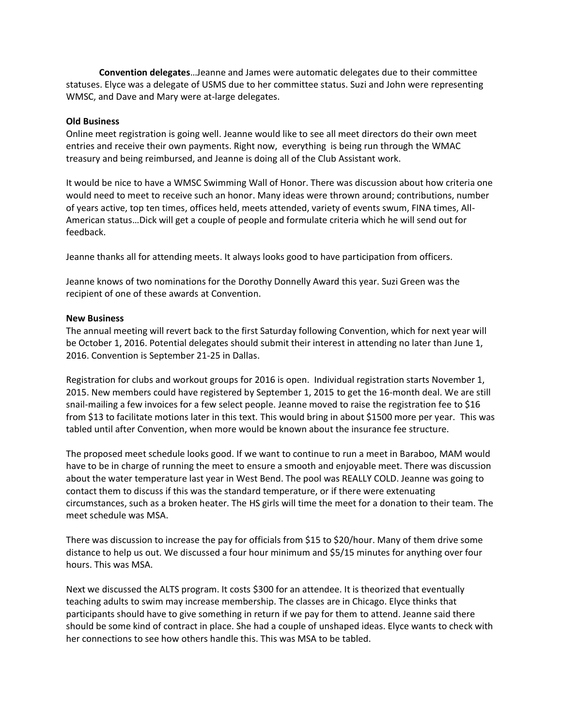**Convention delegates**…Jeanne and James were automatic delegates due to their committee statuses. Elyce was a delegate of USMS due to her committee status. Suzi and John were representing WMSC, and Dave and Mary were at-large delegates.

# **Old Business**

Online meet registration is going well. Jeanne would like to see all meet directors do their own meet entries and receive their own payments. Right now, everything is being run through the WMAC treasury and being reimbursed, and Jeanne is doing all of the Club Assistant work.

It would be nice to have a WMSC Swimming Wall of Honor. There was discussion about how criteria one would need to meet to receive such an honor. Many ideas were thrown around; contributions, number of years active, top ten times, offices held, meets attended, variety of events swum, FINA times, All-American status…Dick will get a couple of people and formulate criteria which he will send out for feedback.

Jeanne thanks all for attending meets. It always looks good to have participation from officers.

Jeanne knows of two nominations for the Dorothy Donnelly Award this year. Suzi Green was the recipient of one of these awards at Convention.

# **New Business**

The annual meeting will revert back to the first Saturday following Convention, which for next year will be October 1, 2016. Potential delegates should submit their interest in attending no later than June 1, 2016. Convention is September 21-25 in Dallas.

Registration for clubs and workout groups for 2016 is open. Individual registration starts November 1, 2015. New members could have registered by September 1, 2015 to get the 16-month deal. We are still snail-mailing a few invoices for a few select people. Jeanne moved to raise the registration fee to \$16 from \$13 to facilitate motions later in this text. This would bring in about \$1500 more per year. This was tabled until after Convention, when more would be known about the insurance fee structure.

The proposed meet schedule looks good. If we want to continue to run a meet in Baraboo, MAM would have to be in charge of running the meet to ensure a smooth and enjoyable meet. There was discussion about the water temperature last year in West Bend. The pool was REALLY COLD. Jeanne was going to contact them to discuss if this was the standard temperature, or if there were extenuating circumstances, such as a broken heater. The HS girls will time the meet for a donation to their team. The meet schedule was MSA.

There was discussion to increase the pay for officials from \$15 to \$20/hour. Many of them drive some distance to help us out. We discussed a four hour minimum and \$5/15 minutes for anything over four hours. This was MSA.

Next we discussed the ALTS program. It costs \$300 for an attendee. It is theorized that eventually teaching adults to swim may increase membership. The classes are in Chicago. Elyce thinks that participants should have to give something in return if we pay for them to attend. Jeanne said there should be some kind of contract in place. She had a couple of unshaped ideas. Elyce wants to check with her connections to see how others handle this. This was MSA to be tabled.